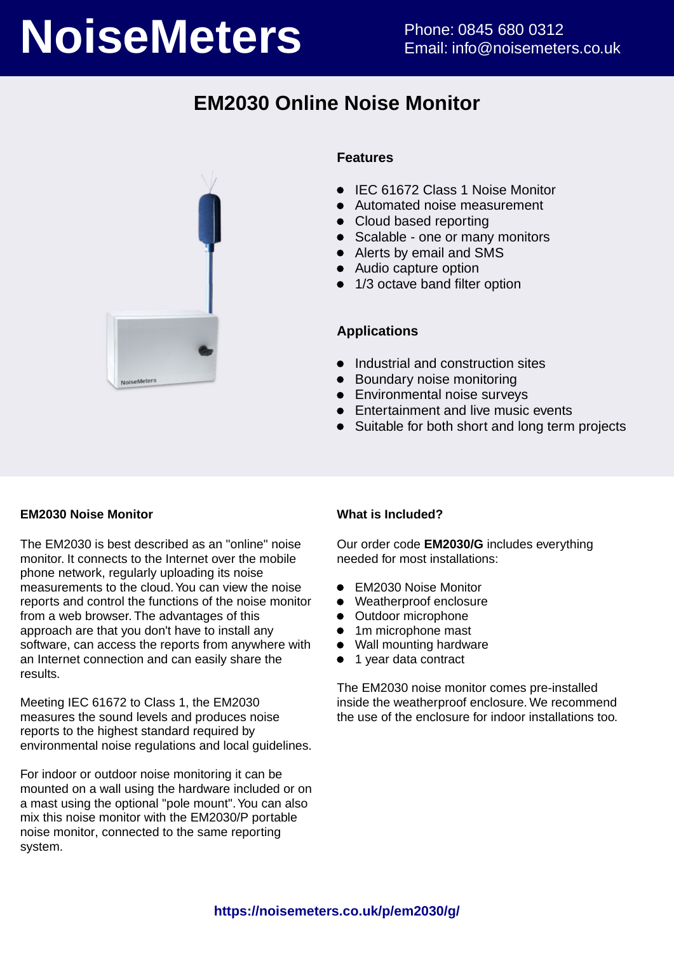# **NoiseMeters** Phone: 0845 680 0312

## **EM2030 Online Noise Monitor**



## **Features**

- IEC 61672 Class 1 Noise Monitor
- Automated noise measurement
- Cloud based reporting
- Scalable one or many monitors
- Alerts by email and SMS
- Audio capture option
- 1/3 octave band filter option

## **Applications**

- Industrial and construction sites
- Boundary noise monitoring
- **•** Environmental noise surveys
- **•** Entertainment and live music events
- Suitable for both short and long term projects

## **EM2030 Noise Monitor**

The EM2030 is best described as an "online" noise monitor. It connects to the Internet over the mobile phone network, regularly uploading its noise measurements to the cloud. You can view the noise reports and control the functions of the noise monitor from a web browser. The advantages of this approach are that you don't have to install any software, can access the reports from anywhere with an Internet connection and can easily share the results.

Meeting IEC 61672 to Class 1, the EM2030 measures the sound levels and produces noise reports to the highest standard required by environmental noise regulations and local guidelines.

For indoor or outdoor noise monitoring it can be mounted on a wall using the hardware included or on a mast using the optional "pole mount". You can also mix this noise monitor with the EM2030/P portable noise monitor, connected to the same reporting system.

## **What is Included?**

Our order code **EM2030/G** includes everything needed for most installations:

- EM2030 Noise Monitor
- Weatherproof enclosure
- Outdoor microphone
- 1m microphone mast  $\bullet$
- Wall mounting hardware
- 1 year data contract

The EM2030 noise monitor comes pre-installed inside the weatherproof enclosure. We recommend the use of the enclosure for indoor installations too.